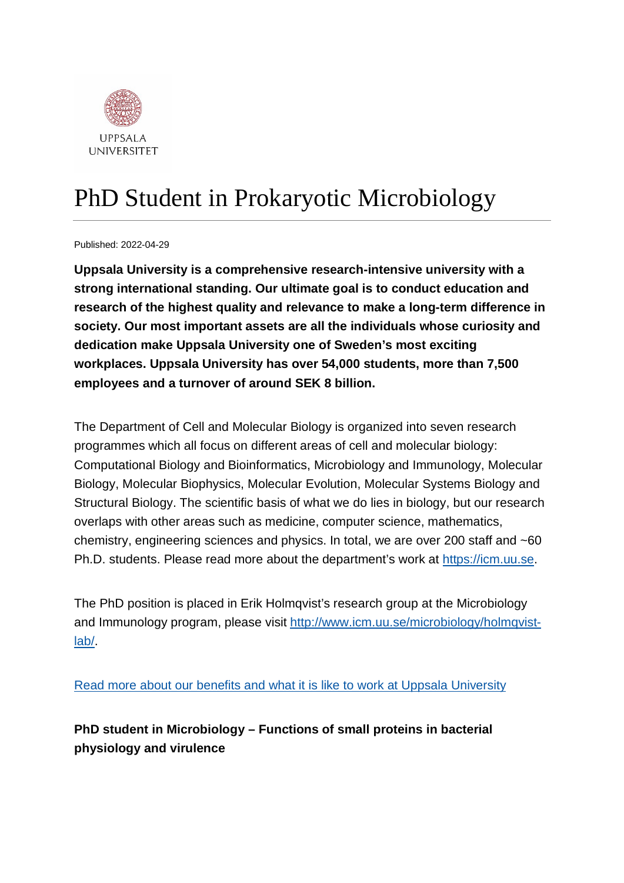

# PhD Student in Prokaryotic Microbiology

Published: 2022-04-29

**Uppsala University is a comprehensive research-intensive university with a strong international standing. Our ultimate goal is to conduct education and research of the highest quality and relevance to make a long-term difference in society. Our most important assets are all the individuals whose curiosity and dedication make Uppsala University one of Sweden's most exciting workplaces. Uppsala University has over 54,000 students, more than 7,500 employees and a turnover of around SEK 8 billion.**

The Department of Cell and Molecular Biology is organized into seven research programmes which all focus on different areas of cell and molecular biology: Computational Biology and Bioinformatics, Microbiology and Immunology, Molecular Biology, Molecular Biophysics, Molecular Evolution, Molecular Systems Biology and Structural Biology. The scientific basis of what we do lies in biology, but our research overlaps with other areas such as medicine, computer science, mathematics, chemistry, engineering sciences and physics. In total, we are over 200 staff and ~60 Ph.D. students. Please read more about the department's work at [https://icm.uu.se.](https://icm.uu.se/)

The PhD position is placed in Erik Holmqvist's research group at the Microbiology and Immunology program, please visit [http://www.icm.uu.se/microbiology/holmqvist](http://www.icm.uu.se/microbiology/holmqvist-lab/)[lab/.](http://www.icm.uu.se/microbiology/holmqvist-lab/)

[Read more about our benefits and what it is like to work at Uppsala University](https://www.uu.se/en/about-uu/join-us/)

**PhD student in Microbiology – Functions of small proteins in bacterial physiology and virulence**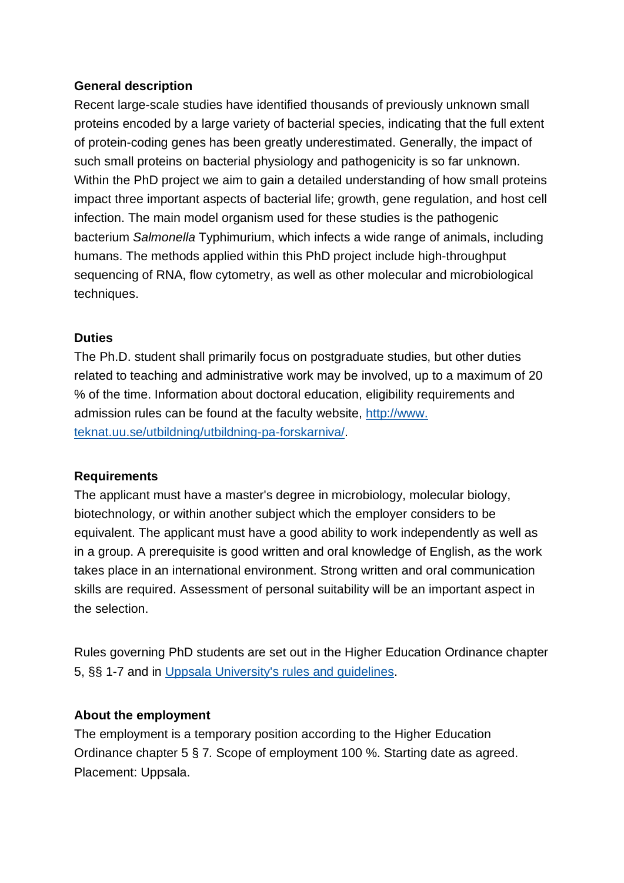## **General description**

Recent large-scale studies have identified thousands of previously unknown small proteins encoded by a large variety of bacterial species, indicating that the full extent of protein-coding genes has been greatly underestimated. Generally, the impact of such small proteins on bacterial physiology and pathogenicity is so far unknown. Within the PhD project we aim to gain a detailed understanding of how small proteins impact three important aspects of bacterial life; growth, gene regulation, and host cell infection. The main model organism used for these studies is the pathogenic bacterium *Salmonella* Typhimurium, which infects a wide range of animals, including humans. The methods applied within this PhD project include high-throughput sequencing of RNA, flow cytometry, as well as other molecular and microbiological techniques.

### **Duties**

The Ph.D. student shall primarily focus on postgraduate studies, but other duties related to teaching and administrative work may be involved, up to a maximum of 20 % of the time. Information about doctoral education, eligibility requirements and admission rules can be found at the faculty website, http://www. teknat.uu.se/utbildning/utbildning-pa-forskarniva/.

#### **Requirements**

The applicant must have a master's degree in microbiology, molecular biology, biotechnology, or within another subject which the employer considers to be equivalent. The applicant must have a good ability to work independently as well as in a group. A prerequisite is good written and oral knowledge of English, as the work takes place in an international environment. Strong written and oral communication skills are required. Assessment of personal suitability will be an important aspect in the selection.

Rules governing PhD students are set out in the Higher Education Ordinance chapter 5, §§ 1-7 and in [Uppsala University's rules and guidelines.](https://regler.uu.se/?languageId=1)

## **About the employment**

The employment is a temporary position according to the Higher Education Ordinance chapter 5 § 7*.* Scope of employment 100 %. Starting date as agreed. Placement: Uppsala.